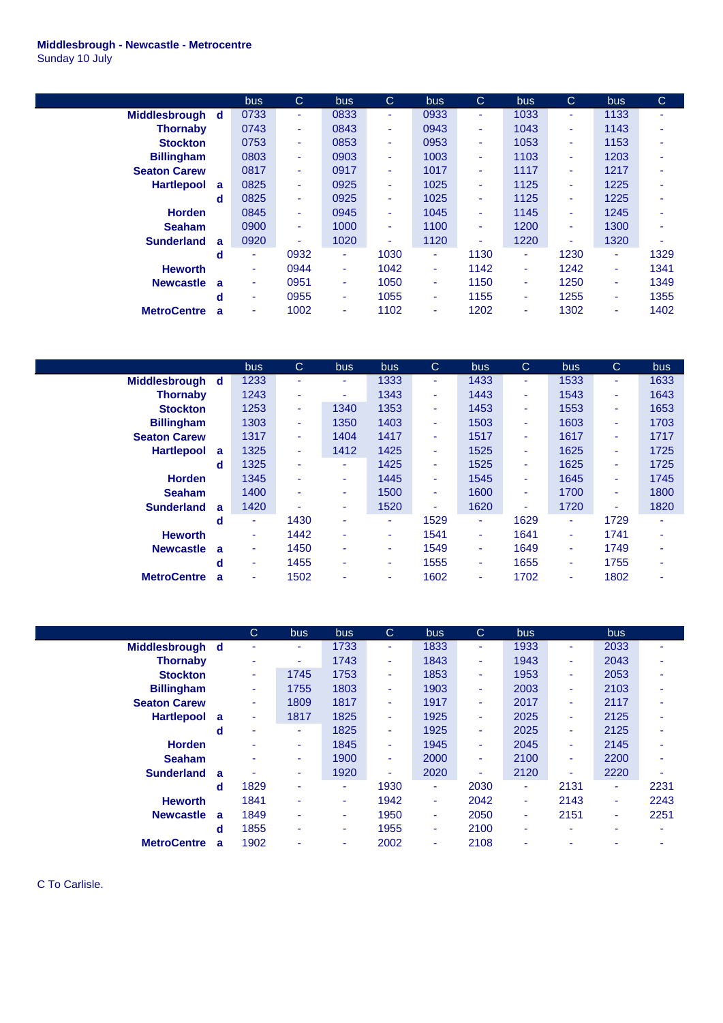## **Middlesbrough - Newcastle - Metrocentre**

Sunday 10 July

|                     |   | bus  | C.   | bus  | $\mathsf{C}$ | bus  | C    | bus. | C.   | bus  | $\mathsf{C}$ |
|---------------------|---|------|------|------|--------------|------|------|------|------|------|--------------|
| Middlesbrough d     |   | 0733 | ٠    | 0833 | ۰            | 0933 | ٠    | 1033 | ٠    | 1133 |              |
| <b>Thornaby</b>     |   | 0743 | ٠    | 0843 | ٠            | 0943 | ٠    | 1043 | ٠    | 1143 |              |
| <b>Stockton</b>     |   | 0753 | ۰    | 0853 | ۰            | 0953 | ٠    | 1053 | ٠    | 1153 | ٠            |
| <b>Billingham</b>   |   | 0803 | ٠    | 0903 | ٠            | 1003 | ٠    | 1103 | ٠    | 1203 |              |
| <b>Seaton Carew</b> |   | 0817 | ۰    | 0917 | ٠            | 1017 | ٠    | 1117 | ۰    | 1217 |              |
| <b>Hartlepool</b>   | a | 0825 | ٠    | 0925 | ۰            | 1025 | ٠    | 1125 | ٠    | 1225 |              |
|                     | d | 0825 | ٠    | 0925 | ۰            | 1025 | ٠    | 1125 | ٠    | 1225 |              |
| <b>Horden</b>       |   | 0845 | ٠    | 0945 | ۰            | 1045 | ٠    | 1145 | ٠    | 1245 |              |
| <b>Seaham</b>       |   | 0900 | ٠    | 1000 | ٠            | 1100 | ٠    | 1200 | ٠    | 1300 | ٠            |
| <b>Sunderland</b>   | a | 0920 | ۰    | 1020 |              | 1120 |      | 1220 | ٠    | 1320 |              |
|                     | d | ٠    | 0932 | ٠    | 1030         | ٠    | 1130 | ۰    | 1230 | ٠    | 1329         |
| <b>Heworth</b>      |   | ٠    | 0944 | ٠    | 1042         | ٠    | 1142 | ٠    | 1242 | ٠    | 1341         |
| <b>Newcastle</b>    | a | ٠    | 0951 | ٠    | 1050         | ٠    | 1150 | ۰    | 1250 | ۰    | 1349         |
|                     | d | ٠    | 0955 | ٠    | 1055         | ٠    | 1155 | ۰    | 1255 | ۰    | 1355         |
| <b>MetroCentre</b>  | a | ٠    | 1002 | ٠    | 1102         | ۰    | 1202 | ۰    | 1302 | ۰    | 1402         |

|                     |   | bus. | C.   | bus  | bus  | $\mathsf{C}$ | <b>bus</b> | C.   | <b>bus</b> | C.   | bus. |
|---------------------|---|------|------|------|------|--------------|------------|------|------------|------|------|
| Middlesbrough d     |   | 1233 | ۰    | ÷    | 1333 | ٠            | 1433       | ٠    | 1533       | ٠    | 1633 |
| <b>Thornaby</b>     |   | 1243 | ÷    | ÷    | 1343 | ٠            | 1443       | ۰.   | 1543       | ٠    | 1643 |
| <b>Stockton</b>     |   | 1253 | ÷.   | 1340 | 1353 | ٠            | 1453       | ٠    | 1553       | ٠    | 1653 |
| <b>Billingham</b>   |   | 1303 | ÷.   | 1350 | 1403 | ٠            | 1503       | ٠    | 1603       | ٠    | 1703 |
| <b>Seaton Carew</b> |   | 1317 | ÷    | 1404 | 1417 | ٠            | 1517       | ٠    | 1617       | ٠    | 1717 |
| <b>Hartlepool</b>   | a | 1325 | ٠.   | 1412 | 1425 | ٠            | 1525       | ٠    | 1625       | ٠    | 1725 |
|                     | d | 1325 | ÷    | ٠    | 1425 | ٠            | 1525       | ٠    | 1625       | ٠    | 1725 |
| <b>Horden</b>       |   | 1345 | ÷    | ÷    | 1445 | ٠            | 1545       | ٠    | 1645       | ٠    | 1745 |
| <b>Seaham</b>       |   | 1400 | ÷    |      | 1500 | ٠            | 1600       | ۰.   | 1700       | ٠    | 1800 |
| <b>Sunderland</b>   | a | 1420 | ۰    |      | 1520 | ٠            | 1620       | ٠    | 1720       | ٠    | 1820 |
|                     | d | ٠    | 1430 | ٠    | ٠    | 1529         | ٠          | 1629 | ٠          | 1729 | ٠    |
| <b>Heworth</b>      |   | ٠    | 1442 | ۰    | ٠    | 1541         | $\sim$     | 1641 | ٠          | 1741 | ٠    |
| <b>Newcastle</b>    | a | ۰    | 1450 | ۰    | ٠    | 1549         | $\sim$     | 1649 | ٠          | 1749 | ٠    |
|                     | d | ٠    | 1455 | ۰    | ٠    | 1555         | ٠          | 1655 | ٠          | 1755 | ۰    |
| <b>MetroCentre</b>  | a | ٠    | 1502 | ۰    | ٠    | 1602         | ٠          | 1702 | ٠          | 1802 | ٠    |

|                     |   | C.   | bus  | bus  | C.   | bus            | $\mathsf{C}$ | <b>bus</b> |      | bus  |      |
|---------------------|---|------|------|------|------|----------------|--------------|------------|------|------|------|
| Middlesbrough d     |   | ٠    | ٠    | 1733 | ÷    | 1833           | ۰.           | 1933       | ٠    | 2033 |      |
| <b>Thornaby</b>     |   | ۰    | ٠    | 1743 | ٠    | 1843           | ۰            | 1943       | ۰    | 2043 |      |
| <b>Stockton</b>     |   | ٠    | 1745 | 1753 | ٠    | 1853           | ۰            | 1953       | ٠    | 2053 |      |
| <b>Billingham</b>   |   | ٠    | 1755 | 1803 | ٠    | 1903           | ۰            | 2003       | ۰.   | 2103 |      |
| <b>Seaton Carew</b> |   | ۰    | 1809 | 1817 | ٠    | 1917           | ۰            | 2017       | ٠    | 2117 |      |
| <b>Hartlepool</b>   | a | ٠    | 1817 | 1825 | ٠    | 1925           | ۰            | 2025       | ٠    | 2125 |      |
|                     | d | ٠    | ٠    | 1825 | ٠    | 1925           | ۰            | 2025       | ٠    | 2125 |      |
| <b>Horden</b>       |   | ۰    | ٠    | 1845 | ٠    | 1945           | ۰            | 2045       | ٠    | 2145 |      |
| <b>Seaham</b>       |   | ۰    | ۰    | 1900 | ٠    | 2000           | ۰            | 2100       | ٠    | 2200 |      |
| <b>Sunderland</b>   | a | ۰    | ٠    | 1920 | ٠    | 2020           |              | 2120       | ٠    | 2220 |      |
|                     | d | 1829 | ٠    | ٠    | 1930 | $\blacksquare$ | 2030         | ٠          | 2131 | ٠    | 2231 |
| <b>Heworth</b>      |   | 1841 | ٠    | ٠    | 1942 | ٠              | 2042         | ٠          | 2143 | ۰    | 2243 |
| <b>Newcastle</b>    | a | 1849 | ۰    | ٠    | 1950 | ٠              | 2050         | ٠          | 2151 | ٠    | 2251 |
|                     | d | 1855 | ۰    | ٠    | 1955 | ٠              | 2100         | ٠          | ٠    | ۰    |      |
| <b>MetroCentre</b>  | a | 1902 | ۰    | ٠    | 2002 | ۰              | 2108         | ۰          |      |      |      |

C To Carlisle.